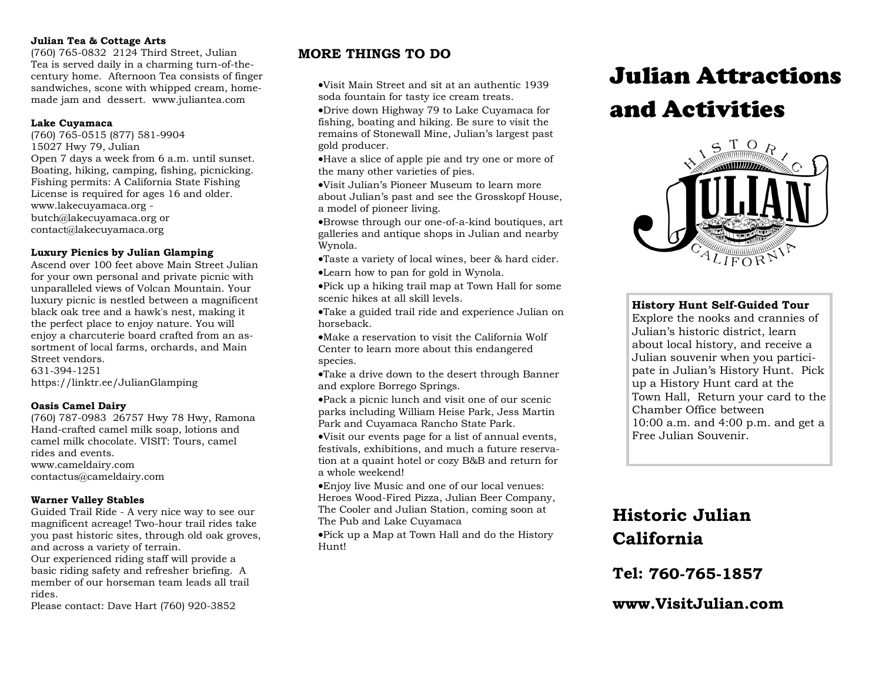#### **Julian Tea & Cottage Arts**

(760) 765-0832 2124 Third Street, Julian Tea is served daily in a charming turn-of-thecentury home. Afternoon Tea consists of finger sandwiches, scone with whipped cream, homemade jam and dessert. www.juliantea.com

#### **Lake Cuyamaca**

(760) 765-0515 (877) 581-9904 15027 Hwy 79, Julian Open 7 days a week from 6 a.m. until sunset. Boating, hiking, camping, fishing, picnicking. Fishing permits: A California State Fishing License is required for ages 16 and older. www.lakecuyamaca.org butch@lakecuyamaca.org or contact@lakecuyamaca.org

#### **Luxury Picnics by Julian Glamping**

Ascend over 100 feet above Main Street Julian for your own personal and private picnic with unparalleled views of Volcan Mountain. Your luxury picnic is nestled between a magnificent black oak tree and a hawk's nest, making it the perfect place to enjoy nature. You will enjoy a charcuterie board crafted from an assortment of local farms, orchards, and Main Street vendors. 631-394-1251 https://linktr.ee/JulianGlamping

#### **Oasis Camel Dairy**

(760) 787-0983 26757 Hwy 78 Hwy, Ramona Hand-crafted camel milk soap, lotions and camel milk chocolate. VISIT: Tours, camel rides and events. www.cameldairy.com contactus@cameldairy.com

#### **Warner Valley Stables**

Guided Trail Ride - A very nice way to see our magnificent acreage! Two-hour trail rides take you past historic sites, through old oak groves, and across a variety of terrain. Our experienced riding staff will provide a basic riding safety and refresher briefing. A member of our horseman team leads all trail rides.

Please contact: Dave Hart (760) 920-3852

### **MORE THINGS TO DO**

•Visit Main Street and sit at an authentic 1939 soda fountain for tasty ice cream treats.

•Drive down Highway 79 to Lake Cuyamaca for fishing, boating and hiking. Be sure to visit the remains of Stonewall Mine, Julian's largest past gold producer.

•Have a slice of apple pie and try one or more of the many other varieties of pies.

•Visit Julian's Pioneer Museum to learn more about Julian's past and see the Grosskopf House, a model of pioneer living.

•Browse through our one-of-a-kind boutiques, art galleries and antique shops in Julian and nearby Wynola.

•Taste a variety of local wines, beer & hard cider.

•Learn how to pan for gold in Wynola.

•Pick up a hiking trail map at Town Hall for some scenic hikes at all skill levels.

•Take a guided trail ride and experience Julian on horseback.

•Make a reservation to visit the California Wolf Center to learn more about this endangered species.

•Take a drive down to the desert through Banner and explore Borrego Springs.

•Pack a picnic lunch and visit one of our scenic parks including William Heise Park, Jess Martin Park and Cuyamaca Rancho State Park.

•Visit our events page for a list of annual events, festivals, exhibitions, and much a future reservation at a quaint hotel or cozy B&B and return for a whole weekend!

•Enjoy live Music and one of our local venues: Heroes Wood-Fired Pizza, Julian Beer Company, The Cooler and Julian Station, coming soon at The Pub and Lake Cuyamaca

•Pick up a Map at Town Hall and do the History Hunt!

# Julian Attractions and Activities



#### **History Hunt Self-Guided Tour**

Explore the nooks and crannies of Julian's historic district, learn about local history, and receive a Julian souvenir when you participate in Julian's History Hunt. Pick up a History Hunt card at the Town Hall, Return your card to the Chamber Office between 10:00 a.m. and 4:00 p.m. and get a Free Julian Souvenir.

## **Historic Julian California**

**Tel:** 

www.Visit.Julian.com